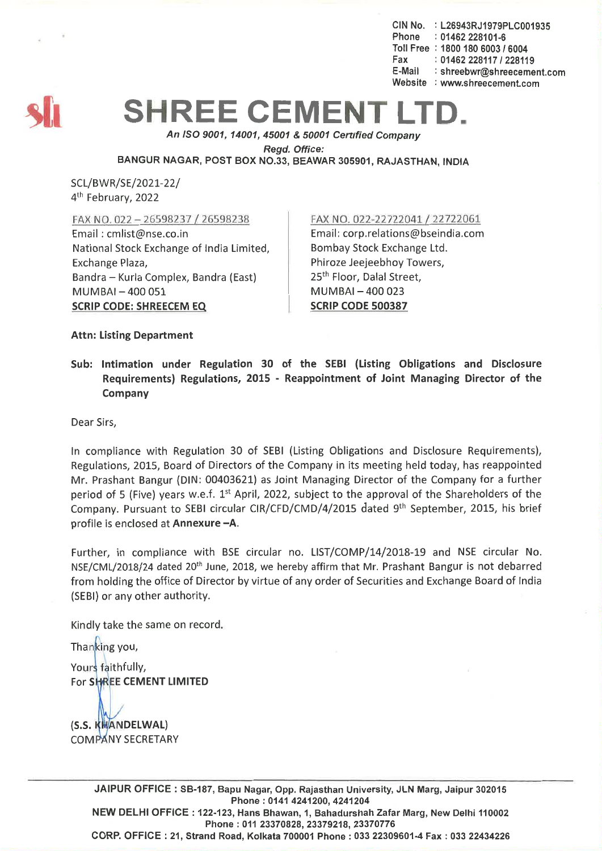CIN No. : L26943RJ1979PLC001935 Phone : 01462 228101-6 Toll Free: *18001806003/6004* Fax: 01462 228117 / 228119 E-Mail : shreebwr@shreecement.com Website : www.shreecement.com



## **SHREE CEMENT**

*An ISO 9001, 14001,45001* & *50001 Cenified Company Regd. Office:* BANGUR NAGAR, POST BOX NO.33, BEAWAR 305901, RAJASTHAN, INDIA

SCL/BWR/SE/2021-22/ 4<sup>th</sup> February, 2022

FAX NO. 022 - 26598237/ 2659\_8238

Email: cmlist@nse.co.in National Stock Exchange of India Limited, Exchange Plaza, Bandra - Kurla Complex, Bandra (East) MUMBAI-400051 SCRIP CODE: SHREECEM EQ

FAX NO. 022-22722041/22722061

Email: corp.relations@bseindia.com Bombay Stock Exchange Ltd. Phiroze Jeejeebhoy Towers, 25<sup>th</sup> Floor, Dalal Street, MUMBAI-400023 SCRIP CODE 500387

Attn: Listing Department

Sub: Intimation under Regulation 30 of the SEBI (Listing Obligations and Disclosure Requirements) Regulations, 2015 - Reappointment of Joint Managing Director of the Company

Dear Sirs,

In compliance with Regulation 30 of SEBI (Listing Obligations and Disclosure Requirements), Regulations, 2015, Board of Directors of the Company in its meeting held today, has reappointed Mr. Prashant Bangur (DIN: 00403621) as Joint Managing Director of the Company for a further period of 5 (Five) years w.e.f. 1<sup>st</sup> April, 2022, subject to the approval of the Shareholders of the Company. Pursuant to SEBI circular CIR/CFD/CMD/4/2015 dated 9th September, 2015, his brief profile is enclosed at Annexure -A.

Further, in compliance with BSE circular no. LlST/COMP/14/2018-19 and NSE circular No. NSE/CML/2018/24 dated 20th June, 2018, we hereby affirm that Mr. Prashant Bangur is not debarred from holding the office of Director by virtue of any order of Securities and Exchange Board of India (SEBI) or any other authority.

Kindly take the same on record. Thanking you, Yours faithfully,

For SHREE CEMENT LIMITED

(S.S. KHANDELWAL) **COMPANY SECRETARY** 

> JAIPUR OFFICE: 5B-187, Bapu Nagar,Opp. Rajasthan University, JLN Marg, Jaipur 302015 Phone:01414241200,4241204 NEW DELHI OFFICE: 122-123,Hans Bhawan, 1, Bahadurshah Zafar Marg, New Delhi 110002 Phone: 01123370828,23379218,23370776 CORP.OFFICE: 21, Strand Road, Kolkata 700001Phone: 033 22309601-4Fax: 033 22434226